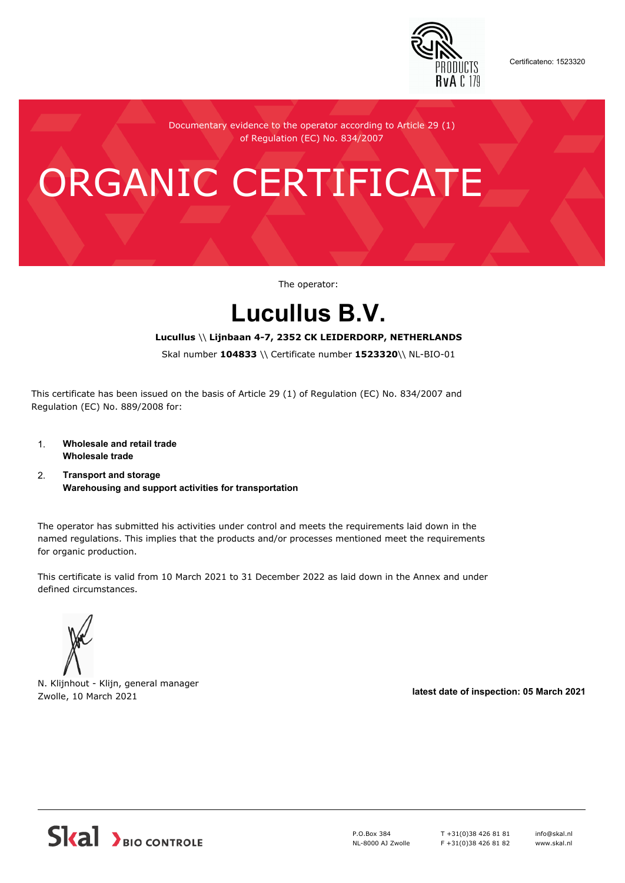

Certificateno: 1523320

Documentary evidence to the operator according to Article 29 (1) of Regulation (EC) No. 834/2007

# ORGANIC CERTIFICATE

The operator:

## **Lucullus B.V.**

#### **Lucullus** \\ **Lijnbaan 4-7, 2352 CK LEIDERDORP, NETHERLANDS**

Skal number **104833** \\ Certificate number **1523320**\\ NL-BIO-01

This certificate has been issued on the basis of Article 29 (1) of Regulation (EC) No. 834/2007 and Regulation (EC) No. 889/2008 for:

- 1. **Wholesale and retail trade Wholesale trade**
- 2. **Transport and storage Warehousing and support activities for transportation**

The operator has submitted his activities under control and meets the requirements laid down in the named regulations. This implies that the products and/or processes mentioned meet the requirements for organic production.

This certificate is valid from 10 March 2021 to 31 December 2022 as laid down in the Annex and under defined circumstances.



N. Klijnhout - Klijn, general manager Zwolle, 10 March 2021 **latest date of inspection: 05 March 2021**



P.O.Box 384 NL-8000 AJ Zwolle T +31(0)38 426 81 81 F +31(0)38 426 81 82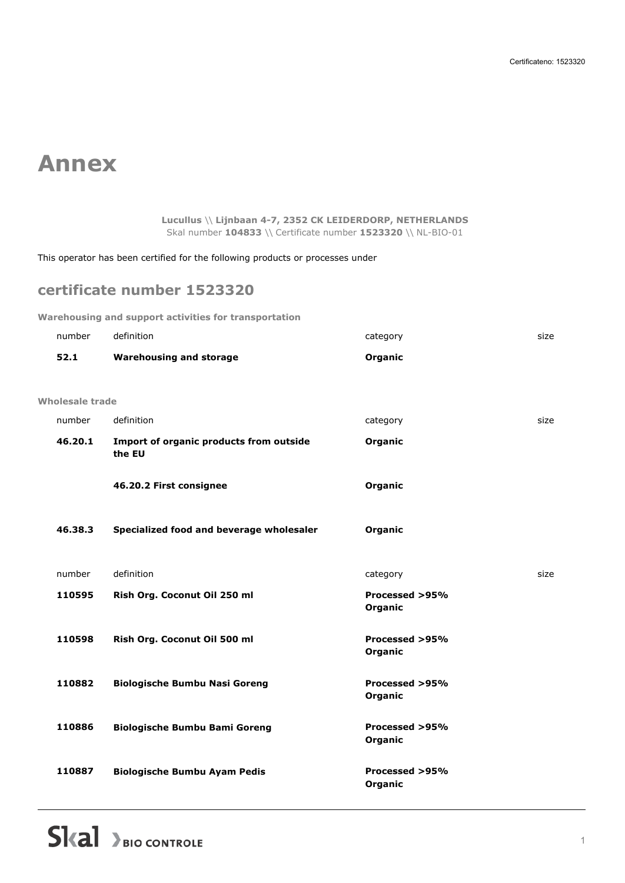## **Annex**

**Lucullus** \\ **Lijnbaan 4-7, 2352 CK LEIDERDORP, NETHERLANDS** Skal number **104833** \\ Certificate number **1523320** \\ NL-BIO-01

This operator has been certified for the following products or processes under

### **certificate number 1523320**

**Warehousing and support activities for transportation**

| number          | definition                                        | category                  | size |
|-----------------|---------------------------------------------------|---------------------------|------|
| 52.1            | <b>Warehousing and storage</b>                    | Organic                   |      |
|                 |                                                   |                           |      |
| Wholesale trade |                                                   |                           |      |
| number          | definition                                        | category                  | size |
| 46.20.1         | Import of organic products from outside<br>the EU | Organic                   |      |
|                 | 46.20.2 First consignee                           | Organic                   |      |
| 46.38.3         | Specialized food and beverage wholesaler          | Organic                   |      |
| number          | definition                                        | category                  | size |
| 110595          | Rish Org. Coconut Oil 250 ml                      | Processed >95%<br>Organic |      |
| 110598          | Rish Org. Coconut Oil 500 ml                      | Processed >95%<br>Organic |      |
| 110882          | <b>Biologische Bumbu Nasi Goreng</b>              | Processed >95%<br>Organic |      |
| 110886          | <b>Biologische Bumbu Bami Goreng</b>              | Processed >95%<br>Organic |      |
| 110887          | <b>Biologische Bumbu Ayam Pedis</b>               | Processed >95%<br>Organic |      |